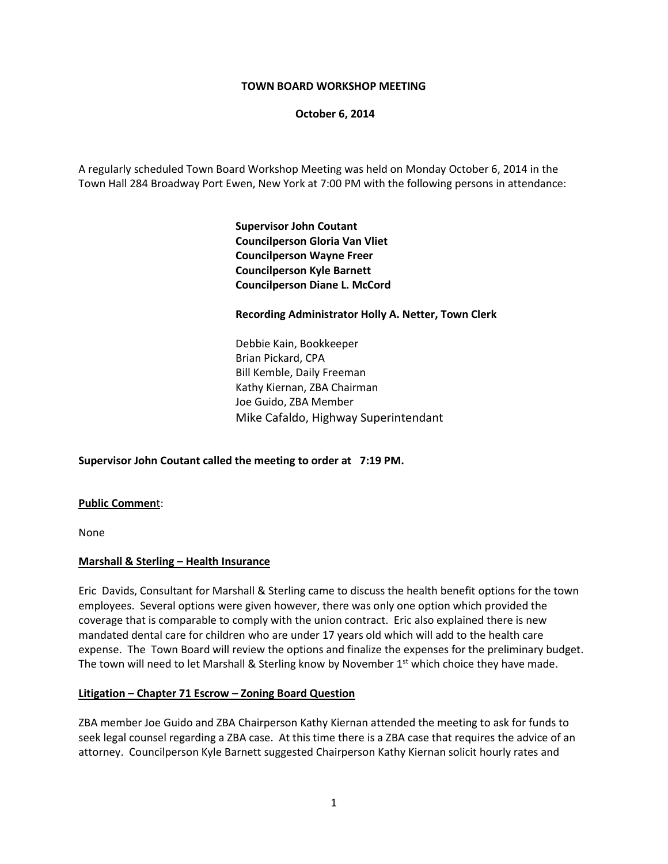### **TOWN BOARD WORKSHOP MEETING**

**October 6, 2014**

A regularly scheduled Town Board Workshop Meeting was held on Monday October 6, 2014 in the Town Hall 284 Broadway Port Ewen, New York at 7:00 PM with the following persons in attendance:

> **Supervisor John Coutant Councilperson Gloria Van Vliet Councilperson Wayne Freer Councilperson Kyle Barnett Councilperson Diane L. McCord**

### **Recording Administrator Holly A. Netter, Town Clerk**

Debbie Kain, Bookkeeper Brian Pickard, CPA Bill Kemble, Daily Freeman Kathy Kiernan, ZBA Chairman Joe Guido, ZBA Member Mike Cafaldo, Highway Superintendant

## **Supervisor John Coutant called the meeting to order at 7:19 PM.**

#### **Public Commen**t:

None

## **Marshall & Sterling – Health Insurance**

Eric Davids, Consultant for Marshall & Sterling came to discuss the health benefit options for the town employees. Several options were given however, there was only one option which provided the coverage that is comparable to comply with the union contract. Eric also explained there is new mandated dental care for children who are under 17 years old which will add to the health care expense. The Town Board will review the options and finalize the expenses for the preliminary budget. The town will need to let Marshall & Sterling know by November  $1<sup>st</sup>$  which choice they have made.

#### **Litigation – Chapter 71 Escrow – Zoning Board Question**

ZBA member Joe Guido and ZBA Chairperson Kathy Kiernan attended the meeting to ask for funds to seek legal counsel regarding a ZBA case. At this time there is a ZBA case that requires the advice of an attorney. Councilperson Kyle Barnett suggested Chairperson Kathy Kiernan solicit hourly rates and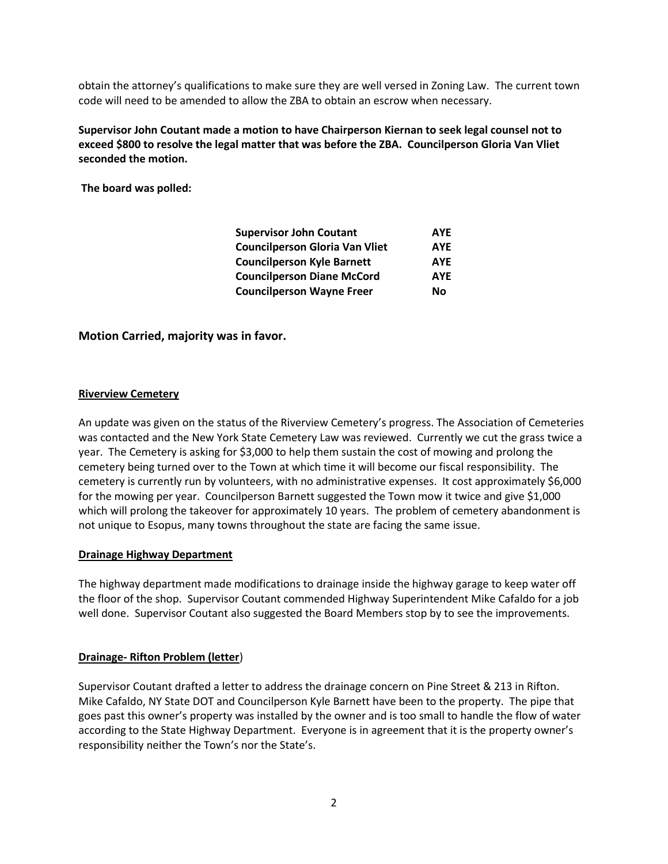obtain the attorney's qualifications to make sure they are well versed in Zoning Law. The current town code will need to be amended to allow the ZBA to obtain an escrow when necessary.

**Supervisor John Coutant made a motion to have Chairperson Kiernan to seek legal counsel not to exceed \$800 to resolve the legal matter that was before the ZBA. Councilperson Gloria Van Vliet seconded the motion.** 

**The board was polled:**

| <b>Supervisor John Coutant</b>        | <b>AYE</b> |
|---------------------------------------|------------|
| <b>Councilperson Gloria Van Vliet</b> | <b>AYE</b> |
| <b>Councilperson Kyle Barnett</b>     | <b>AYE</b> |
| <b>Councilperson Diane McCord</b>     | <b>AYE</b> |
| <b>Councilperson Wayne Freer</b>      | Nο         |

## **Motion Carried, majority was in favor.**

#### **Riverview Cemetery**

An update was given on the status of the Riverview Cemetery's progress. The Association of Cemeteries was contacted and the New York State Cemetery Law was reviewed. Currently we cut the grass twice a year. The Cemetery is asking for \$3,000 to help them sustain the cost of mowing and prolong the cemetery being turned over to the Town at which time it will become our fiscal responsibility. The cemetery is currently run by volunteers, with no administrative expenses. It cost approximately \$6,000 for the mowing per year. Councilperson Barnett suggested the Town mow it twice and give \$1,000 which will prolong the takeover for approximately 10 years. The problem of cemetery abandonment is not unique to Esopus, many towns throughout the state are facing the same issue.

#### **Drainage Highway Department**

The highway department made modifications to drainage inside the highway garage to keep water off the floor of the shop. Supervisor Coutant commended Highway Superintendent Mike Cafaldo for a job well done. Supervisor Coutant also suggested the Board Members stop by to see the improvements.

#### **Drainage- Rifton Problem (letter**)

Supervisor Coutant drafted a letter to address the drainage concern on Pine Street & 213 in Rifton. Mike Cafaldo, NY State DOT and Councilperson Kyle Barnett have been to the property. The pipe that goes past this owner's property was installed by the owner and is too small to handle the flow of water according to the State Highway Department. Everyone is in agreement that it is the property owner's responsibility neither the Town's nor the State's.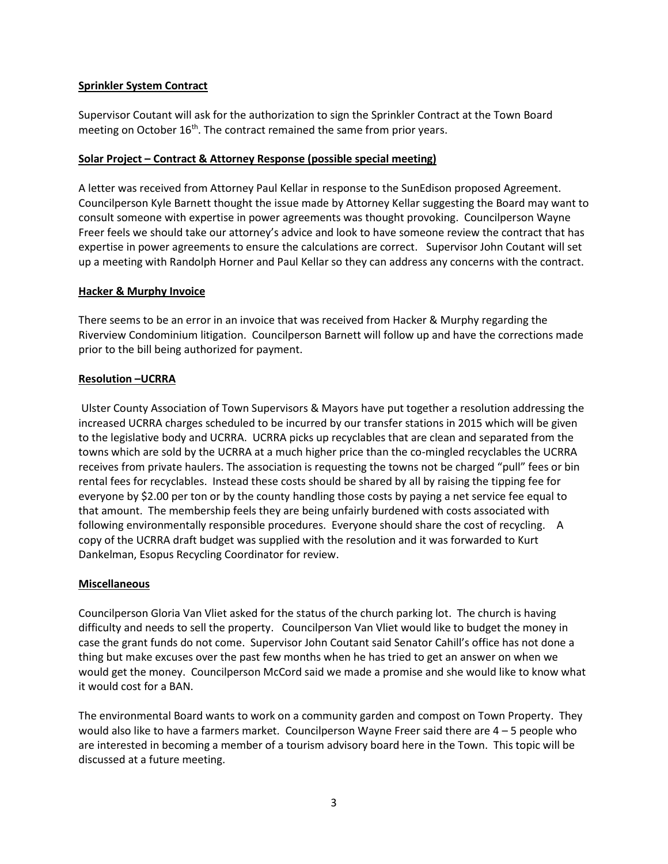## **Sprinkler System Contract**

Supervisor Coutant will ask for the authorization to sign the Sprinkler Contract at the Town Board meeting on October 16<sup>th</sup>. The contract remained the same from prior years.

## **Solar Project – Contract & Attorney Response (possible special meeting)**

A letter was received from Attorney Paul Kellar in response to the SunEdison proposed Agreement. Councilperson Kyle Barnett thought the issue made by Attorney Kellar suggesting the Board may want to consult someone with expertise in power agreements was thought provoking. Councilperson Wayne Freer feels we should take our attorney's advice and look to have someone review the contract that has expertise in power agreements to ensure the calculations are correct. Supervisor John Coutant will set up a meeting with Randolph Horner and Paul Kellar so they can address any concerns with the contract.

# **Hacker & Murphy Invoice**

There seems to be an error in an invoice that was received from Hacker & Murphy regarding the Riverview Condominium litigation. Councilperson Barnett will follow up and have the corrections made prior to the bill being authorized for payment.

# **Resolution –UCRRA**

Ulster County Association of Town Supervisors & Mayors have put together a resolution addressing the increased UCRRA charges scheduled to be incurred by our transfer stations in 2015 which will be given to the legislative body and UCRRA. UCRRA picks up recyclables that are clean and separated from the towns which are sold by the UCRRA at a much higher price than the co-mingled recyclables the UCRRA receives from private haulers. The association is requesting the towns not be charged "pull" fees or bin rental fees for recyclables. Instead these costs should be shared by all by raising the tipping fee for everyone by \$2.00 per ton or by the county handling those costs by paying a net service fee equal to that amount. The membership feels they are being unfairly burdened with costs associated with following environmentally responsible procedures. Everyone should share the cost of recycling. A copy of the UCRRA draft budget was supplied with the resolution and it was forwarded to Kurt Dankelman, Esopus Recycling Coordinator for review.

# **Miscellaneous**

Councilperson Gloria Van Vliet asked for the status of the church parking lot. The church is having difficulty and needs to sell the property. Councilperson Van Vliet would like to budget the money in case the grant funds do not come. Supervisor John Coutant said Senator Cahill's office has not done a thing but make excuses over the past few months when he has tried to get an answer on when we would get the money. Councilperson McCord said we made a promise and she would like to know what it would cost for a BAN.

The environmental Board wants to work on a community garden and compost on Town Property. They would also like to have a farmers market. Councilperson Wayne Freer said there are 4 – 5 people who are interested in becoming a member of a tourism advisory board here in the Town. This topic will be discussed at a future meeting.